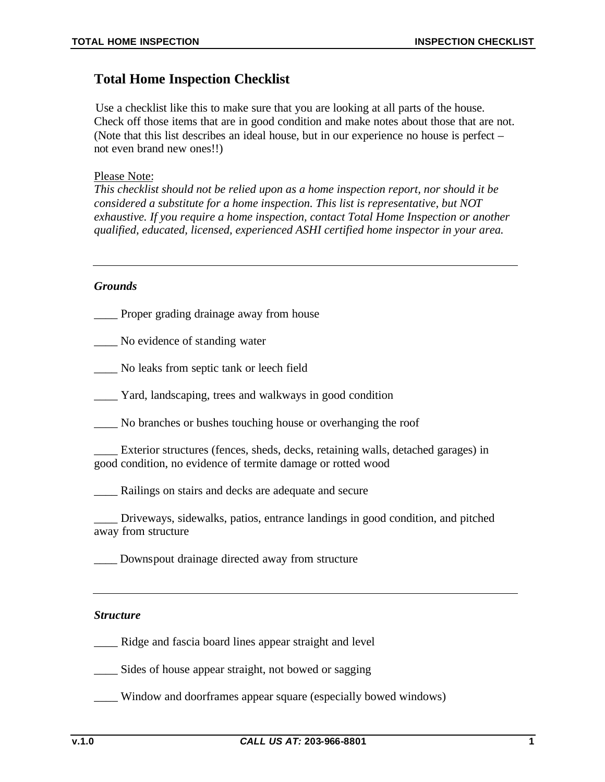# **Total Home Inspection Checklist**

Use a checklist like this to make sure that you are looking at all parts of the house. Check off those items that are in good condition and make notes about those that are not. (Note that this list describes an ideal house, but in our experience no house is perfect – not even brand new ones!!)

### Please Note:

*This checklist should not be relied upon as a home inspection report, nor should it be considered a substitute for a home inspection. This list is representative, but NOT exhaustive. If you require a home inspection, contact Total Home Inspection or another qualified, educated, licensed, experienced ASHI certified home inspector in your area.*

## *Grounds*

- \_\_\_\_ Proper grading drainage away from house
- \_\_\_\_ No evidence of standing water
- \_\_\_\_ No leaks from septic tank or leech field
- \_\_\_\_ Yard, landscaping, trees and walkways in good condition
- \_\_\_\_ No branches or bushes touching house or overhanging the roof
- \_\_\_\_ Exterior structures (fences, sheds, decks, retaining walls, detached garages) in good condition, no evidence of termite damage or rotted wood
- \_\_\_\_ Railings on stairs and decks are adequate and secure

\_\_\_\_ Driveways, sidewalks, patios, entrance landings in good condition, and pitched away from structure

\_\_\_\_ Downspout drainage directed away from structure

### *Structure*

\_\_\_\_ Ridge and fascia board lines appear straight and level

Sides of house appear straight, not bowed or sagging

\_\_\_\_ Window and doorframes appear square (especially bowed windows)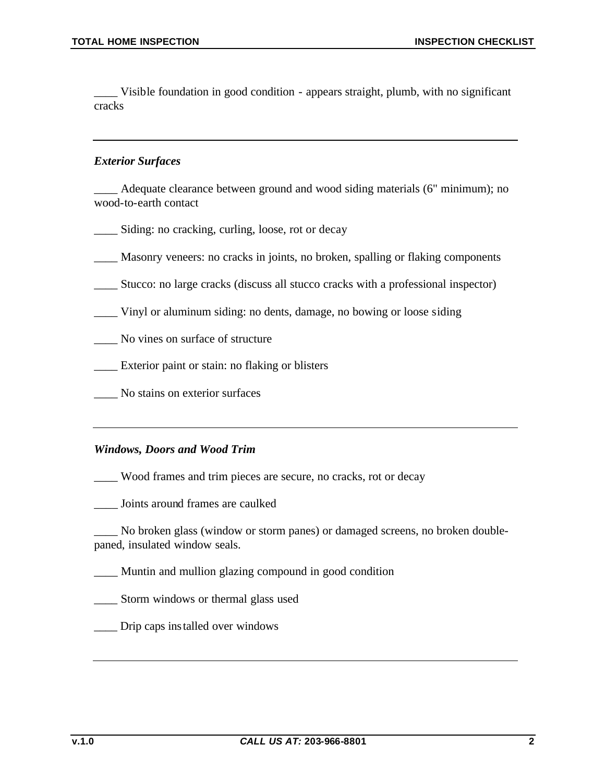\_\_\_\_ Visible foundation in good condition - appears straight, plumb, with no significant cracks

# *Exterior Surfaces*

Adequate clearance between ground and wood siding materials (6" minimum); no wood-to-earth contact

- \_\_\_\_ Siding: no cracking, curling, loose, rot or decay
- \_\_\_\_ Masonry veneers: no cracks in joints, no broken, spalling or flaking components
- \_\_\_\_ Stucco: no large cracks (discuss all stucco cracks with a professional inspector)
- \_\_\_\_ Vinyl or aluminum siding: no dents, damage, no bowing or loose siding
- \_\_\_\_ No vines on surface of structure
- \_\_\_\_ Exterior paint or stain: no flaking or blisters
- \_\_\_\_ No stains on exterior surfaces

#### *Windows, Doors and Wood Trim*

\_\_\_\_ Wood frames and trim pieces are secure, no cracks, rot or decay

\_\_\_\_ Joints around frames are caulked

\_\_\_\_ No broken glass (window or storm panes) or damaged screens, no broken doublepaned, insulated window seals.

\_\_\_\_ Muntin and mullion glazing compound in good condition

\_\_\_\_ Storm windows or thermal glass used

\_\_\_\_ Drip caps installed over windows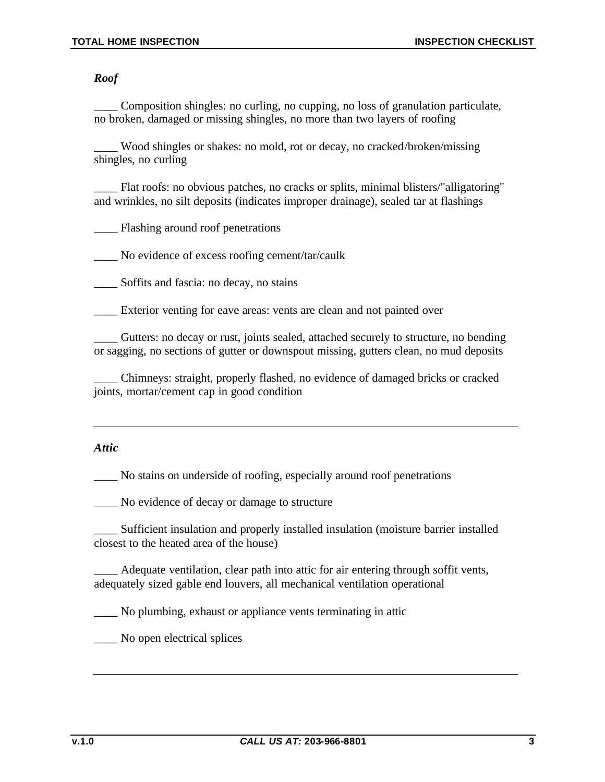*Roof*

\_\_\_\_ Composition shingles: no curling, no cupping, no loss of granulation particulate, no broken, damaged or missing shingles, no more than two layers of roofing

\_\_\_\_ Wood shingles or shakes: no mold, rot or decay, no cracked/broken/missing shingles, no curling

\_\_\_\_ Flat roofs: no obvious patches, no cracks or splits, minimal blisters/"alligatoring" and wrinkles, no silt deposits (indicates improper drainage), sealed tar at flashings

\_\_\_\_ Flashing around roof penetrations

\_\_\_\_ No evidence of excess roofing cement/tar/caulk

Soffits and fascia: no decay, no stains

Exterior venting for eave areas: vents are clean and not painted over

\_\_\_\_ Gutters: no decay or rust, joints sealed, attached securely to structure, no bending or sagging, no sections of gutter or downspout missing, gutters clean, no mud deposits

\_\_\_\_ Chimneys: straight, properly flashed, no evidence of damaged bricks or cracked joints, mortar/cement cap in good condition

# *Attic*

\_\_\_\_ No stains on underside of roofing, especially around roof penetrations

\_\_\_\_ No evidence of decay or damage to structure

\_\_\_\_ Sufficient insulation and properly installed insulation (moisture barrier installed closest to the heated area of the house)

\_\_\_\_ Adequate ventilation, clear path into attic for air entering through soffit vents, adequately sized gable end louvers, all mechanical ventilation operational

\_\_\_\_ No plumbing, exhaust or appliance vents terminating in attic

\_\_\_\_ No open electrical splices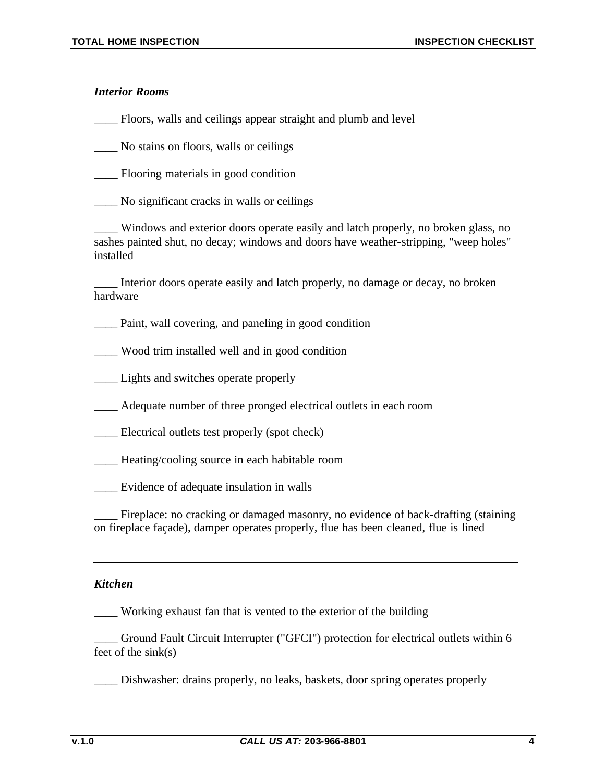# *Interior Rooms*

\_\_\_\_ Floors, walls and ceilings appear straight and plumb and level

\_\_\_\_ No stains on floors, walls or ceilings

\_\_\_\_ Flooring materials in good condition

\_\_\_\_ No significant cracks in walls or ceilings

Windows and exterior doors operate easily and latch properly, no broken glass, no sashes painted shut, no decay; windows and doors have weather-stripping, "weep holes" installed

Interior doors operate easily and latch properly, no damage or decay, no broken hardware

\_\_\_\_ Paint, wall covering, and paneling in good condition

\_\_\_\_ Wood trim installed well and in good condition

\_\_\_\_ Lights and switches operate properly

\_\_\_\_ Adequate number of three pronged electrical outlets in each room

\_\_\_\_ Electrical outlets test properly (spot check)

\_\_\_\_ Heating/cooling source in each habitable room

\_\_\_\_ Evidence of adequate insulation in walls

Fireplace: no cracking or damaged masonry, no evidence of back-drafting (staining on fireplace façade), damper operates properly, flue has been cleaned, flue is lined

#### *Kitchen*

\_\_\_\_ Working exhaust fan that is vented to the exterior of the building

\_\_\_\_ Ground Fault Circuit Interrupter ("GFCI") protection for electrical outlets within 6 feet of the sink(s)

\_\_\_\_ Dishwasher: drains properly, no leaks, baskets, door spring operates properly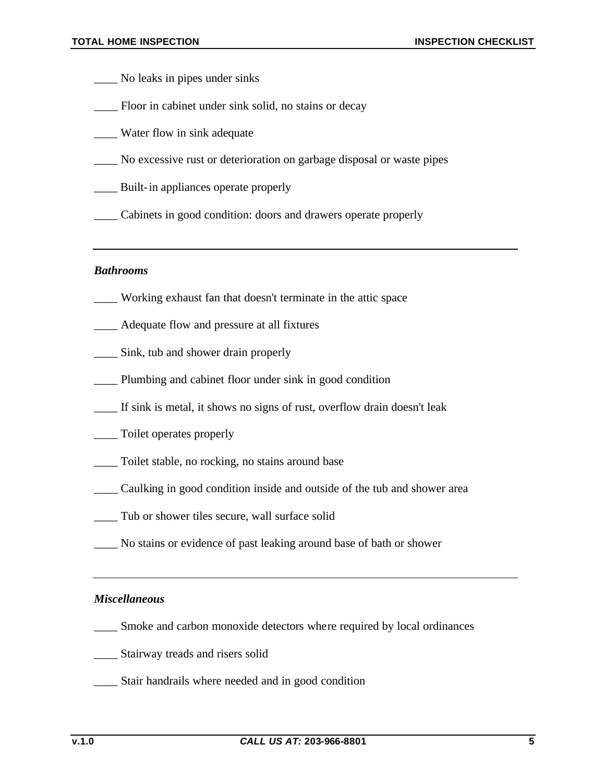- \_\_\_\_ No leaks in pipes under sinks
- \_\_\_\_ Floor in cabinet under sink solid, no stains or decay
- Water flow in sink adequate
- \_\_\_\_ No excessive rust or deterioration on garbage disposal or waste pipes
- \_\_\_\_ Built-in appliances operate properly
- \_\_\_\_ Cabinets in good condition: doors and drawers operate properly

#### *Bathrooms*

- \_\_\_\_ Working exhaust fan that doesn't terminate in the attic space
- \_\_\_\_ Adequate flow and pressure at all fixtures
- \_\_\_\_ Sink, tub and shower drain properly
- \_\_\_\_ Plumbing and cabinet floor under sink in good condition
- \_\_\_\_ If sink is metal, it shows no signs of rust, overflow drain doesn't leak
- \_\_\_\_ Toilet operates properly
- \_\_\_\_ Toilet stable, no rocking, no stains around base
- \_\_\_\_ Caulking in good condition inside and outside of the tub and shower area
- \_\_\_\_ Tub or shower tiles secure, wall surface solid
- \_\_\_\_ No stains or evidence of past leaking around base of bath or shower

#### *Miscellaneous*

- \_\_\_\_ Smoke and carbon monoxide detectors where required by local ordinances
- \_\_\_\_ Stairway treads and risers solid
- \_\_\_\_ Stair handrails where needed and in good condition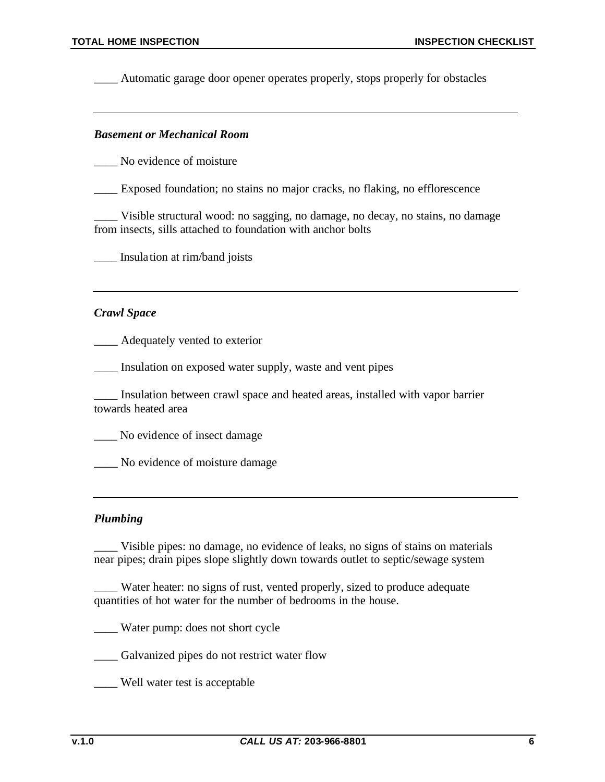\_\_\_\_ Automatic garage door opener operates properly, stops properly for obstacles

#### *Basement or Mechanical Room*

No evidence of moisture

\_\_\_\_ Exposed foundation; no stains no major cracks, no flaking, no efflorescence

\_\_\_\_ Visible structural wood: no sagging, no damage, no decay, no stains, no damage from insects, sills attached to foundation with anchor bolts

\_\_\_\_ Insula tion at rim/band joists

#### *Crawl Space*

\_\_\_\_ Adequately vented to exterior

\_\_\_\_ Insulation on exposed water supply, waste and vent pipes

\_\_\_\_ Insulation between crawl space and heated areas, installed with vapor barrier towards heated area

No evidence of insect damage

No evidence of moisture damage

#### *Plumbing*

\_\_\_\_ Visible pipes: no damage, no evidence of leaks, no signs of stains on materials near pipes; drain pipes slope slightly down towards outlet to septic/sewage system

Water heater: no signs of rust, vented properly, sized to produce adequate quantities of hot water for the number of bedrooms in the house.

\_\_\_\_ Water pump: does not short cycle

\_\_\_\_ Galvanized pipes do not restrict water flow

\_\_\_\_ Well water test is acceptable